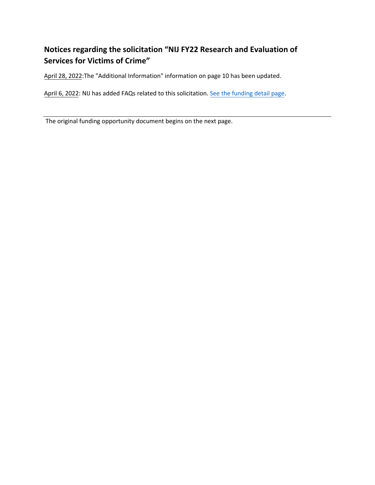# **Notices regarding the solicitation "NIJ FY22 Research and Evaluation of Services for Victims of Crime"**

April 28, 2022:The "Additional Information" information on [page 10 has been updated.](https://nij.ojp.gov/funding/opportunities/O-NIJ-2022-171206) 

April 6, 2022: NIJ has added FAQs related to this solicitation. See the funding detail page.

The original funding opportunity document begins on the next page.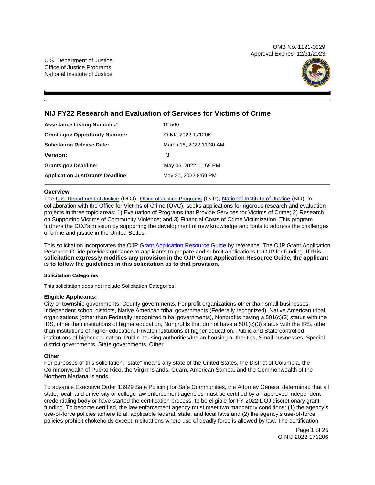OMB No. 1121-0329 Approval Expires 12/31/2023



# **NIJ FY22 Research and Evaluation of Services for Victims of Crime**

| <b>Assistance Listing Number #</b>      | 16.560                  |
|-----------------------------------------|-------------------------|
| <b>Grants.gov Opportunity Number:</b>   | O-NIJ-2022-171206       |
| <b>Solicitation Release Date:</b>       | March 18, 2022 11:30 AM |
| <b>Version:</b>                         | 3                       |
| <b>Grants.gov Deadline:</b>             | May 06, 2022 11:59 PM   |
| <b>Application JustGrants Deadline:</b> | May 20, 2022 8:59 PM    |

# **Overview**

The [U.S. Department of Justice](https://www.usdoj.gov/) (DOJ), [Office of Justice Programs](https://www.ojp.usdoj.gov/) (OJP), [National Institute of Justice](https://nij.ojp.gov/) (NIJ), in collaboration with the Office for Victims of Crime (OVC), seeks applications for rigorous research and evaluation projects in three topic areas: 1) Evaluation of Programs that Provide Services for Victims of Crime; 2) Research on Supporting Victims of Community Violence; and 3) Financial Costs of Crime Victimization. This program furthers the DOJ's mission by supporting the development of new knowledge and tools to address the challenges of crime and justice in the United States.

This solicitation incorporates the [OJP Grant Application Resource Guide](https://www.ojp.gov/funding/Apply/Resources/Grant-App-Resource-Guide.htm) by reference. The OJP Grant Application Resource Guide provides guidance to applicants to prepare and submit applications to OJP for funding. **If this solicitation expressly modifies any provision in the OJP Grant Application Resource Guide, the applicant is to follow the guidelines in this solicitation as to that provision.** 

#### **Solicitation Categories**

This solicitation does not include Solicitation Categories.

# **Eligible Applicants:**

City or township governments, County governments, For profit organizations other than small businesses, Independent school districts, Native American tribal governments (Federally recognized), Native American tribal organizations (other than Federally recognized tribal governments), Nonprofits having a 501(c)(3) status with the IRS, other than institutions of higher education, Nonprofits that do not have a 501(c)(3) status with the IRS, other than institutions of higher education, Private institutions of higher education, Public and State controlled institutions of higher education, Public housing authorities/Indian housing authorities, Small businesses, Special district governments, State governments, Other

# **Other**

For purposes of this solicitation, "state" means any state of the United States, the District of Columbia, the Commonwealth of Puerto Rico, the Virgin Islands, Guam, American Samoa, and the Commonwealth of the Northern Mariana Islands.

To advance Executive Order 13929 Safe Policing for Safe Communities, the Attorney General determined that all state, local, and university or college law enforcement agencies must be certified by an approved independent credentialing body or have started the certification process, to be eligible for FY 2022 DOJ discretionary grant funding. To become certified, the law enforcement agency must meet two mandatory conditions: (1) the agency's use-of-force policies adhere to all applicable federal, state, and local laws and (2) the agency's use-of-force policies prohibit chokeholds except in situations where use of deadly force is allowed by law. The certification

> Page 1 of 25 O-NIJ-2022-171206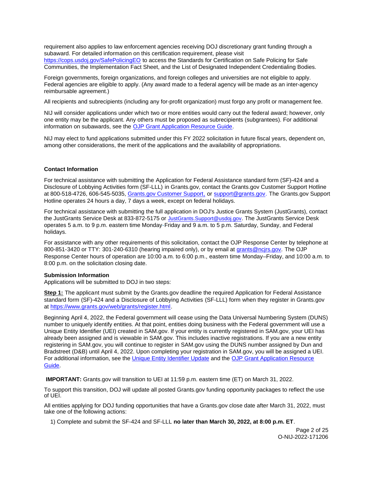<span id="page-2-0"></span>requirement also applies to law enforcement agencies receiving DOJ discretionary grant funding through a subaward. For detailed information on this certification requirement, please visit [https://cops.usdoj.gov/SafePolicingEO](https://cops.usdoj.gov/SafePolicingEO%20) to access the Standards for Certification on Safe Policing for Safe Communities, the Implementation Fact Sheet, and the List of Designated Independent Credentialing Bodies.

Foreign governments, foreign organizations, and foreign colleges and universities are not eligible to apply. Federal agencies are eligible to apply. (Any award made to a federal agency will be made as an inter-agency reimbursable agreement.)

All recipients and subrecipients (including any for-profit organization) must forgo any profit or management fee.

NIJ will consider applications under which two or more entities would carry out the federal award; however, only one entity may be the applicant. Any others must be proposed as subrecipients (subgrantees). For additional information on subawards, see the [OJP Grant Application Resource Guide.](https://www.ojp.gov/funding/Apply/Resources/Grant-App-Resource-Guide.htm)

NIJ may elect to fund applications submitted under this FY 2022 solicitation in future fiscal years, dependent on, among other considerations, the merit of the applications and the availability of appropriations.

### **Contact Information**

For technical assistance with submitting the Application for Federal Assistance standard form (SF)-424 and a Disclosure of Lobbying Activities form (SF-LLL) in [Grants.gov,](https://Grants.gov) contact the [Grants.gov](https://Grants.gov) Customer Support Hotline at 800-518-4726, 606-545-5035, [Grants.gov Customer Support,](https://www.grants.gov/web/grants/support.html) or [support@grants.gov.](mailto:support@grants.gov) The [Grants.gov](https://Grants.gov) Support Hotline operates 24 hours a day, 7 days a week, except on federal holidays.

For technical assistance with submitting the full application in DOJ's Justice Grants System (JustGrants), contact the JustGrants Service Desk at 833-872-5175 or [JustGrants.Support@usdoj.gov.](mailto:JustGrants.Support@usdoj.gov) The JustGrants Service Desk operates 5 a.m. to 9 p.m. eastern time Monday-Friday and 9 a.m. to 5 p.m. Saturday, Sunday, and Federal holidays.

For assistance with any other requirements of this solicitation, contact the OJP Response Center by telephone at 800-851-3420 or TTY: 301-240-6310 (hearing impaired only), or by email at [grants@ncjrs.gov.](mailto:grants@ncjrs.gov) The OJP Response Center hours of operation are 10:00 a.m. to 6:00 p.m., eastern time Monday–Friday, and 10:00 a.m. to 8:00 p.m. on the solicitation closing date.

#### **Submission Information**

Applications will be submitted to DOJ in two steps:

**Step 1:** The applicant must submit by the [Grants.gov](https://Grants.gov) deadline the required Application for Federal Assistance standard form (SF)-424 and a Disclosure of Lobbying Activities (SF-LLL) form when they register in [Grants.gov](https://Grants.gov)  at [https://www.grants.gov/web/grants/register.html.](https://www.grants.gov/web/grants/register.html)

Beginning April 4, 2022, the Federal government will cease using the Data Universal Numbering System (DUNS) number to uniquely identify entities. At that point, entities doing business with the Federal government will use a Unique Entity Identifier (UEI) created in SAM.gov. If your entity is currently registered in SAM.gov, your UEI has already been assigned and is viewable in SAM.gov. This includes inactive registrations. If you are a new entity registering in SAM.gov, you will continue to register in SAM.gov using the DUNS number assigned by Dun and Bradstreet (D&B) until April 4, 2022. Upon completing your registration in SAM.gov, you will be assigned a UEI. For additional information, see the [Unique Entity Identifier Update](https://www.gsa.gov/about-us/organization/federal-acquisition-service/office-of-systems-management/integrated-award-environment-iae/iae-systems-information-kit/unique-entity-identifier-update) and the [OJP Grant Application Resource](https://www.ojp.gov/funding/apply/ojp-grant-application-resource-guide#unique-entity)  [Guide.](https://www.ojp.gov/funding/apply/ojp-grant-application-resource-guide#unique-entity)

**IMPORTANT:** [Grants.gov](https://Grants.gov) will transition to UEI at 11:59 p.m. eastern time (ET) on March 31, 2022.

To support this transition, DOJ will update all posted [Grants.gov](https://Grants.gov) funding opportunity packages to reflect the use of UEI.

All entities applying for DOJ funding opportunities that have a [Grants.gov](https://Grants.gov) close date after March 31, 2022, must take one of the following actions:

1) Complete and submit the SF-424 and SF-LLL **no later than March 30, 2022, at 8:00 p.m. ET**.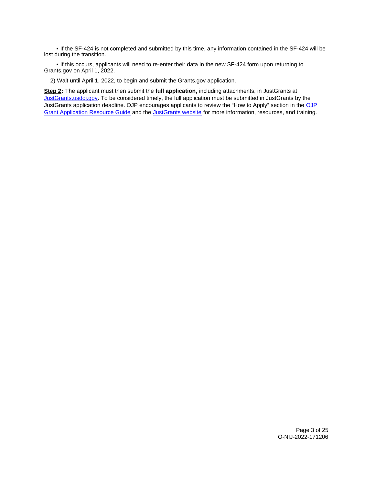• If the SF-424 is not completed and submitted by this time, any information contained in the SF-424 will be lost during the transition.

 • If this occurs, applicants will need to re-enter their data in the new SF-424 form upon returning to [Grants.gov](https://Grants.gov) on April 1, 2022.

2) Wait until April 1, 2022, to begin and submit the [Grants.gov](https://Grants.gov) application.

**Step 2:** The applicant must then submit the **full application,** including attachments, in JustGrants at [JustGrants.usdoj.gov.](https://justicegrants.usdoj.gov/) To be considered timely, the full application must be submitted in JustGrants by the JustGrants application deadline. [OJP](https://www.ojp.gov/funding/apply/ojp-grant-application-resource-guide#apply) encourages applicants to review the "How to Apply" section in the OJP [Grant Application Resource Guide](https://www.ojp.gov/funding/apply/ojp-grant-application-resource-guide#apply) and the [JustGrants website](https://justicegrants.usdoj.gov/news) for more information, resources, and training.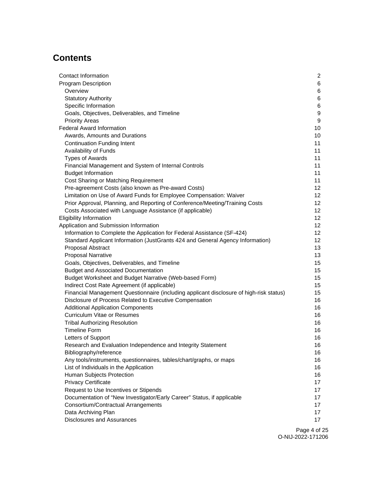# **Contents**

| Contact Information                                                                     | $\overline{2}$   |
|-----------------------------------------------------------------------------------------|------------------|
| <b>Program Description</b>                                                              | 6                |
| Overview                                                                                | 6                |
| <b>Statutory Authority</b>                                                              | 6                |
| Specific Information                                                                    | 6                |
| Goals, Objectives, Deliverables, and Timeline                                           | $\boldsymbol{9}$ |
| <b>Priority Areas</b>                                                                   | $\boldsymbol{9}$ |
| <b>Federal Award Information</b>                                                        | 10               |
| Awards, Amounts and Durations                                                           | 10               |
| <b>Continuation Funding Intent</b>                                                      | 11               |
| <b>Availability of Funds</b>                                                            | 11               |
| <b>Types of Awards</b>                                                                  | 11               |
| Financial Management and System of Internal Controls                                    | 11               |
| <b>Budget Information</b>                                                               | 11               |
| Cost Sharing or Matching Requirement                                                    | 11               |
| Pre-agreement Costs (also known as Pre-award Costs)                                     | 12               |
| Limitation on Use of Award Funds for Employee Compensation: Waiver                      | 12               |
| Prior Approval, Planning, and Reporting of Conference/Meeting/Training Costs            | 12               |
| Costs Associated with Language Assistance (if applicable)                               | 12               |
| <b>Eligibility Information</b>                                                          | 12               |
| Application and Submission Information                                                  | 12               |
| Information to Complete the Application for Federal Assistance (SF-424)                 | 12               |
| Standard Applicant Information (JustGrants 424 and General Agency Information)          | 12               |
| Proposal Abstract                                                                       | 13               |
| <b>Proposal Narrative</b>                                                               | 13               |
| Goals, Objectives, Deliverables, and Timeline                                           | 15               |
| <b>Budget and Associated Documentation</b>                                              | 15               |
| Budget Worksheet and Budget Narrative (Web-based Form)                                  | 15               |
| Indirect Cost Rate Agreement (if applicable)                                            | 15               |
| Financial Management Questionnaire (including applicant disclosure of high-risk status) | 15               |
| Disclosure of Process Related to Executive Compensation                                 | 16               |
| <b>Additional Application Components</b>                                                | 16               |
| <b>Curriculum Vitae or Resumes</b>                                                      | 16               |
| <b>Tribal Authorizing Resolution</b>                                                    | 16               |
| <b>Timeline Form</b>                                                                    | 16               |
| Letters of Support                                                                      | 16               |
| Research and Evaluation Independence and Integrity Statement                            | 16               |
| Bibliography/reference                                                                  | 16               |
| Any tools/instruments, questionnaires, tables/chart/graphs, or maps                     | 16               |
| List of Individuals in the Application                                                  | 16               |
| Human Subjects Protection                                                               | 16               |
| <b>Privacy Certificate</b>                                                              | 17               |
| Request to Use Incentives or Stipends                                                   | 17               |
| Documentation of "New Investigator/Early Career" Status, if applicable                  | 17               |
| Consortium/Contractual Arrangements                                                     | 17               |
| Data Archiving Plan                                                                     | 17               |
| <b>Disclosures and Assurances</b>                                                       | 17               |
|                                                                                         |                  |

Page 4 of 25 O-NIJ-2022-171206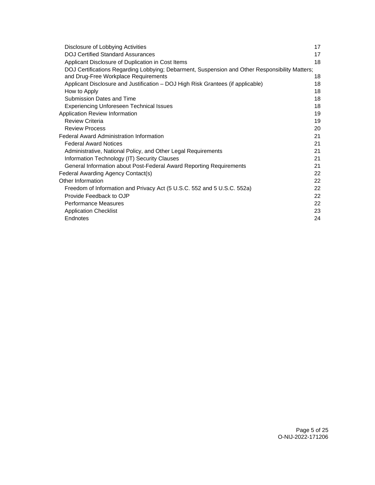| Disclosure of Lobbying Activities                                                              | 17 |
|------------------------------------------------------------------------------------------------|----|
| <b>DOJ Certified Standard Assurances</b>                                                       | 17 |
| Applicant Disclosure of Duplication in Cost Items                                              | 18 |
| DOJ Certifications Regarding Lobbying; Debarment, Suspension and Other Responsibility Matters; |    |
| and Drug-Free Workplace Requirements                                                           | 18 |
| Applicant Disclosure and Justification - DOJ High Risk Grantees (if applicable)                | 18 |
| How to Apply                                                                                   | 18 |
| Submission Dates and Time                                                                      | 18 |
| <b>Experiencing Unforeseen Technical Issues</b>                                                | 18 |
| Application Review Information                                                                 | 19 |
| <b>Review Criteria</b>                                                                         | 19 |
| <b>Review Process</b>                                                                          | 20 |
| <b>Federal Award Administration Information</b>                                                | 21 |
| <b>Federal Award Notices</b>                                                                   | 21 |
| Administrative, National Policy, and Other Legal Requirements                                  | 21 |
| Information Technology (IT) Security Clauses                                                   | 21 |
| General Information about Post-Federal Award Reporting Requirements                            | 21 |
| Federal Awarding Agency Contact(s)                                                             | 22 |
| Other Information                                                                              | 22 |
| Freedom of Information and Privacy Act (5 U.S.C. 552 and 5 U.S.C. 552a)                        | 22 |
| Provide Feedback to OJP                                                                        | 22 |
| <b>Performance Measures</b>                                                                    | 22 |
| <b>Application Checklist</b>                                                                   | 23 |
| Endnotes                                                                                       | 24 |
|                                                                                                |    |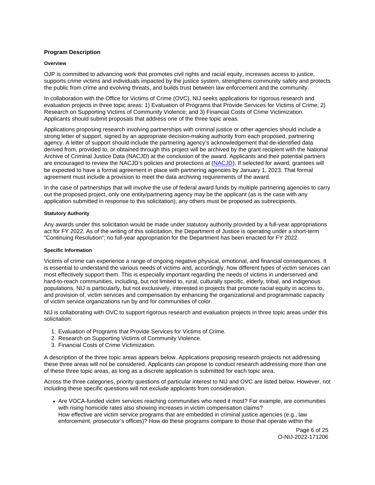# <span id="page-6-0"></span>**Program Description**

#### **Overview**

OJP is committed to advancing work that promotes civil rights and racial equity, increases access to justice, supports crime victims and individuals impacted by the justice system, strengthens community safety and protects the public from crime and evolving threats, and builds trust between law enforcement and the community.

In collaboration with the Office for Victims of Crime (OVC), NIJ seeks applications for rigorous research and evaluation projects in three topic areas: 1) Evaluation of Programs that Provide Services for Victims of Crime; 2) Research on Supporting Victims of Community Violence; and 3) Financial Costs of Crime Victimization. Applicants should submit proposals that address one of the three topic areas.

Applications proposing research involving partnerships with criminal justice or other agencies should include a strong letter of support, signed by an appropriate decision-making authority from each proposed, partnering agency. A letter of support should include the partnering agency's acknowledgement that de-identified data derived from, provided to, or obtained through this project will be archived by the grant recipient with the National Archive of Criminal Justice Data (NACJD) at the conclusion of the award. Applicants and their potential partners are encouraged to review the NACJD's policies and protections at ([NACJD\)](https://www.icpsr.umich.edu/web/pages/NACJD/archiving/deposit-nij-data.html). If selected for award, grantees will be expected to have a formal agreement in place with partnering agencies by January 1, 2023. That formal agreement must include a provision to meet the data archiving requirements of the award.

In the case of partnerships that will involve the use of federal award funds by multiple partnering agencies to carry out the proposed project, only one entity/partnering agency may be the applicant (as is the case with any application submitted in response to this solicitation); any others must be proposed as subrecipients.

### **Statutory Authority**

Any awards under this solicitation would be made under statutory authority provided by a full-year appropriations act for FY 2022. As of the writing of this solicitation, the Department of Justice is operating under a short-term "Continuing Resolution"; no full-year appropriation for the Department has been enacted for FY 2022.

# **Specific Information**

Victims of crime can experience a range of ongoing negative physical, emotional, and financial consequences. It is essential to understand the various needs of victims and, accordingly, how different types of victim services can most effectively support them. This is especially important regarding the needs of victims in underserved and hard-to-reach communities, including, but not limited to, rural, culturally specific, elderly, tribal, and indigenous populations. NIJ is particularly, but not exclusively, interested in projects that promote racial equity in access to, and provision of, victim services and compensation by enhancing the organizational and programmatic capacity of victim service organizations run by and for communities of color.

NIJ is collaborating with OVC to support rigorous research and evaluation projects in three topic areas under this solicitation:

- 1. Evaluation of Programs that Provide Services for Victims of Crime.
- 2. Research on Supporting Victims of Community Violence.
- 3. Financial Costs of Crime Victimization.

A description of the three topic areas appears below. Applications proposing research projects not addressing these three areas will not be considered. Applicants can propose to conduct research addressing more than one of these three topic areas, as long as a discrete application is submitted for each topic area.

Across the three categories, priority questions of particular interest to NIJ and OVC are listed below. However, not including these specific questions will not exclude applicants from consideration.

Are VOCA-funded victim services reaching communities who need it most? For example, are communities with rising homicide rates also showing increases in victim compensation claims? How effective are victim service programs that are embedded in criminal justice agencies (e.g., law enforcement, prosecutor's offices)? How do these programs compare to those that operate within the

> Page 6 of 25 O-NIJ-2022-171206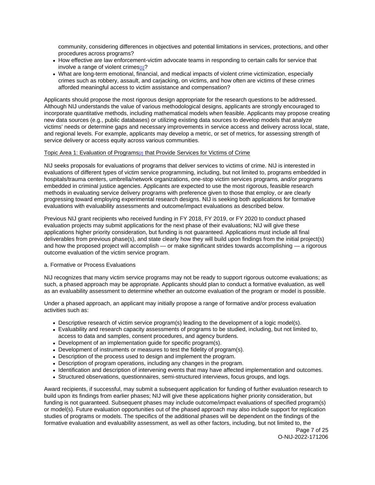community, considering differences in objectives and potential limitations in services, protections, and other procedures across programs?

- How effective are law enforcement-victim advocate teams in responding to certain calls for service that involve a range of violent crimes $[1]$ ?
- What are long-term emotional, financial, and medical impacts of violent crime victimization, especially crimes such as robbery, assault, and carjacking, on victims, and how often are victims of these crimes afforded meaningful access to victim assistance and compensation?

Applicants should propose the most rigorous design appropriate for the research questions to be addressed. Although NIJ understands the value of various methodological designs, applicants are strongly encouraged to incorporate quantitative methods, including mathematical models when feasible. Applicants may propose creating new data sources (e.g., public databases) or utilizing existing data sources to develop models that analyze victims' needs or determine gaps and necessary improvements in service access and delivery across local, state, and regional levels. For example, applicants may develop a metric, or set of metrics, for assessing strength of service delivery or access equity across various communities.

# Topic Area 1: Evaluation of Programs[\[2\]](#page-25-0) that Provide Services for Victims of Crime

NIJ seeks proposals for evaluations of programs that deliver services to victims of crime. NIJ is interested in evaluations of different types of victim service programming, including, but not limited to, programs embedded in hospitals/trauma centers, umbrella/network organizations, one-stop victim services programs, and/or programs embedded in criminal justice agencies. Applicants are expected to use the most rigorous, feasible research methods in evaluating service delivery programs with preference given to those that employ, or are clearly progressing toward employing experimental research designs. NIJ is seeking both applications for formative evaluations with evaluability assessments and outcome/impact evaluations as described below.

Previous NIJ grant recipients who received funding in FY 2018, FY 2019, or FY 2020 to conduct phased evaluation projects may submit applications for the next phase of their evaluations; NIJ will give these applications higher priority consideration, but funding is not guaranteed. Applications must include all final deliverables from previous phase(s), and state clearly how they will build upon findings from the initial project(s) and how the proposed project will accomplish — or make significant strides towards accomplishing — a rigorous outcome evaluation of the victim service program.

# a. Formative or Process Evaluations

NIJ recognizes that many victim service programs may not be ready to support rigorous outcome evaluations; as such, a phased approach may be appropriate. Applicants should plan to conduct a formative evaluation, as well as an evaluability assessment to determine whether an outcome evaluation of the program or model is possible.

Under a phased approach, an applicant may initially propose a range of formative and/or process evaluation activities such as:

- Descriptive research of victim service program(s) leading to the development of a logic model(s).
- Evaluability and research capacity assessments of programs to be studied, including, but not limited to, access to data and samples, consent procedures, and agency burdens.
- Development of an implementation guide for specific program(s).
- Development of instruments or measures to test the fidelity of program(s).
- Description of the process used to design and implement the program.
- Description of program operations, including any changes in the program.
- Identification and description of intervening events that may have affected implementation and outcomes.
- Structured observations, questionnaires, semi-structured interviews, focus groups, and logs.

Award recipients, if successful, may submit a subsequent application for funding of further evaluation research to build upon its findings from earlier phases; NIJ will give these applications higher priority consideration, but funding is not guaranteed. Subsequent phases may include outcome/impact evaluations of specified program(s) or model(s). Future evaluation opportunities out of the phased approach may also include support for replication studies of programs or models. The specifics of the additional phases will be dependent on the findings of the formative evaluation and evaluability assessment, as well as other factors, including, but not limited to, the

> Page 7 of 25 O-NIJ-2022-171206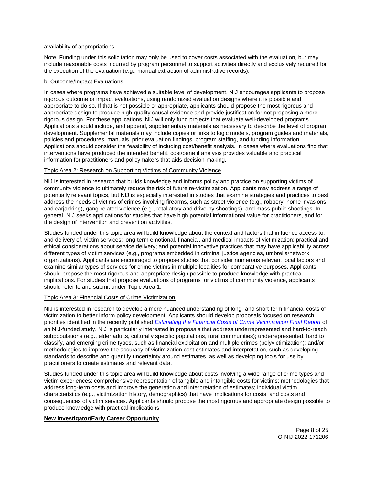# availability of appropriations.

Note: Funding under this solicitation may only be used to cover costs associated with the evaluation, but may include reasonable costs incurred by program personnel to support activities directly and exclusively required for the execution of the evaluation (e.g., manual extraction of administrative records).

# b. Outcome/Impact Evaluations

In cases where programs have achieved a suitable level of development, NIJ encourages applicants to propose rigorous outcome or impact evaluations, using randomized evaluation designs where it is possible and appropriate to do so. If that is not possible or appropriate, applicants should propose the most rigorous and appropriate design to produce high-quality causal evidence and provide justification for not proposing a more rigorous design. For these applications, NIJ will only fund projects that evaluate well-developed programs. Applications should include, and append, supplementary materials as necessary to describe the level of program development. Supplemental materials may include copies or links to logic models, program guides and materials, policies and procedures, manuals, prior evaluation findings, program staffing, and funding information. Applications should consider the feasibility of including cost/benefit analysis. In cases where evaluations find that interventions have produced the intended benefit, cost/benefit analysis provides valuable and practical information for practitioners and policymakers that aids decision-making.

# Topic Area 2: Research on Supporting Victims of Community Violence

NIJ is interested in research that builds knowledge and informs policy and practice on supporting victims of community violence to ultimately reduce the risk of future re-victimization. Applicants may address a range of potentially relevant topics, but NIJ is especially interested in studies that examine strategies and practices to best address the needs of victims of crimes involving firearms, such as street violence (e.g., robbery, home invasions, and carjacking), gang-related violence (e.g., retaliatory and drive-by shootings), and mass public shootings. In general, NIJ seeks applications for studies that have high potential informational value for practitioners, and for the design of intervention and prevention activities.

Studies funded under this topic area will build knowledge about the context and factors that influence access to, and delivery of, victim services; long-term emotional, financial, and medical impacts of victimization; practical and ethical considerations about service delivery; and potential innovative practices that may have applicability across different types of victim services (e.g., programs embedded in criminal justice agencies, umbrella/network organizations). Applicants are encouraged to propose studies that consider numerous relevant local factors and examine similar types of services for crime victims in multiple localities for comparative purposes. Applicants should propose the most rigorous and appropriate design possible to produce knowledge with practical implications. For studies that propose evaluations of programs for victims of community violence, applicants should refer to and submit under Topic Area 1.

# Topic Area 3: Financial Costs of Crime Victimization

NIJ is interested in research to develop a more nuanced understanding of long- and short-term financial costs of victimization to better inform policy development. Applicants should develop proposals focused on research priorities identified in the recently published **[Estimating the Financial Costs of Crime Victimization Final Report](https://www.ojp.gov/pdffiles1/nij/grants/254010.pdf)** of an NIJ-funded study. NIJ is particularly interested in proposals that address underrepresented and hard-to-reach subpopulations (e.g., elder adults, culturally specific populations, rural communities); underrepresented, hard to classify, and emerging crime types, such as financial exploitation and multiple crimes (polyvictimization); and/or methodologies to improve the accuracy of victimization cost estimates and interpretation, such as developing standards to describe and quantify uncertainty around estimates, as well as developing tools for use by practitioners to create estimates and relevant data.

Studies funded under this topic area will build knowledge about costs involving a wide range of crime types and victim experiences; comprehensive representation of tangible and intangible costs for victims; methodologies that address long-term costs and improve the generation and interpretation of estimates; individual victim characteristics (e.g., victimization history, demographics) that have implications for costs; and costs and consequences of victim services. Applicants should propose the most rigorous and appropriate design possible to produce knowledge with practical implications.

# **New Investigator/Early Career Opportunity**

Page 8 of 25 O-NIJ-2022-171206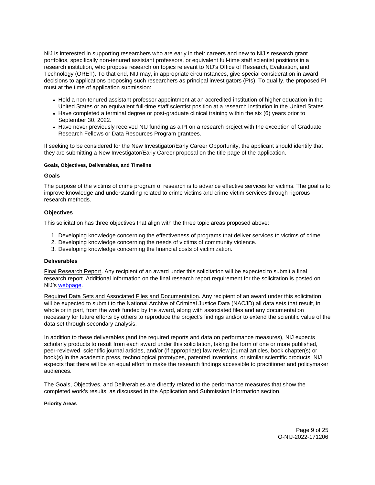<span id="page-9-0"></span>NIJ is interested in supporting researchers who are early in their careers and new to NIJ's research grant portfolios, specifically non-tenured assistant professors, or equivalent full-time staff scientist positions in a research institution, who propose research on topics relevant to NIJ's Office of Research, Evaluation, and Technology (ORET). To that end, NIJ may, in appropriate circumstances, give special consideration in award decisions to applications proposing such researchers as principal investigators (PIs). To qualify, the proposed PI must at the time of application submission:

- Hold a non-tenured assistant professor appointment at an accredited institution of higher education in the United States or an equivalent full-time staff scientist position at a research institution in the United States.
- Have completed a terminal degree or post-graduate clinical training within the six (6) years prior to September 30, 2022.
- Have never previously received NIJ funding as a PI on a research project with the exception of Graduate Research Fellows or Data Resources Program grantees.

If seeking to be considered for the New Investigator/Early Career Opportunity, the applicant should identify that they are submitting a New Investigator/Early Career proposal on the title page of the application.

### **Goals, Objectives, Deliverables, and Timeline**

### **Goals**

The purpose of the victims of crime program of research is to advance effective services for victims. The goal is to improve knowledge and understanding related to crime victims and crime victim services through rigorous research methods.

# **Objectives**

This solicitation has three objectives that align with the three topic areas proposed above:

- 1. Developing knowledge concerning the effectiveness of programs that deliver services to victims of crime.
- 2. Developing knowledge concerning the needs of victims of community violence.
- 3. Developing knowledge concerning the financial costs of victimization.

#### **Deliverables**

Final Research Report. Any recipient of an award under this solicitation will be expected to submit a final research report. Additional information on the final research report requirement for the solicitation is posted on NIJ's [webpage.](https://nij.ojp.gov/funding/research-development-and-evaluation-grant-award-requirements#xp5fv)

Required Data Sets and Associated Files and Documentation. Any recipient of an award under this solicitation will be expected to submit to the National Archive of Criminal Justice Data (NACJD) all data sets that result, in whole or in part, from the work funded by the award, along with associated files and any documentation necessary for future efforts by others to reproduce the project's findings and/or to extend the scientific value of the data set through secondary analysis.

In addition to these deliverables (and the required reports and data on performance measures), NIJ expects scholarly products to result from each award under this solicitation, taking the form of one or more published, peer-reviewed, scientific journal articles, and/or (if appropriate) law review journal articles, book chapter(s) or book(s) in the academic press, technological prototypes, patented inventions, or similar scientific products. NIJ expects that there will be an equal effort to make the research findings accessible to practitioner and policymaker audiences.

The Goals, Objectives, and Deliverables are directly related to the performance measures that show the completed work's results, as discussed in the Application and Submission Information section.

#### **Priority Areas**

Page 9 of 25 O-NIJ-2022-171206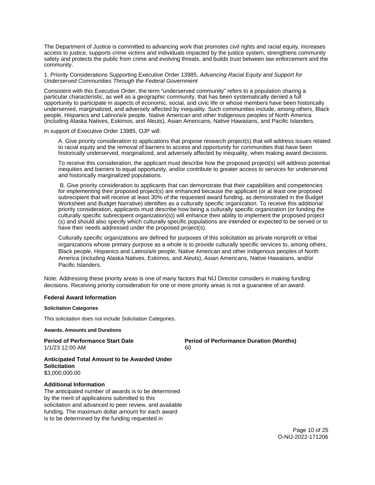<span id="page-10-0"></span>The Department of Justice is committed to advancing work that promotes civil rights and racial equity, increases access to justice, supports crime victims and individuals impacted by the justice system, strengthens community safety and protects the public from crime and evolving threats, and builds trust between law enforcement and the community.

1. Priority Considerations Supporting Executive Order 13985, Advancing Racial Equity and Support for Underserved Communities Through the Federal Government

Consistent with this Executive Order, the term "underserved community" refers to a population sharing a particular characteristic, as well as a geographic community, that has been systematically denied a full opportunity to participate in aspects of economic, social, and civic life or whose members have been historically underserved, marginalized, and adversely affected by inequality. Such communities include, among others, Black people, Hispanics and Latino/a/e people, Native American and other Indigenous peoples of North America (including Alaska Natives, Eskimos, and Aleuts), Asian Americans, Native Hawaiians, and Pacific Islanders.

In support of Executive Order 13985, OJP will:

A. Give priority consideration to applications that propose research project(s) that will address issues related to racial equity and the removal of barriers to access and opportunity for communities that have been historically underserved, marginalized, and adversely affected by inequality, when making award decisions.

To receive this consideration, the applicant must describe how the proposed project(s) will address potential inequities and barriers to equal opportunity, and/or contribute to greater access to services for underserved and historically marginalized populations.

 B. Give priority consideration to applicants that can demonstrate that their capabilities and competencies for implementing their proposed project(s) are enhanced because the applicant (or at least one proposed subrecipient that will receive at least 30% of the requested award funding, as demonstrated in the Budget Worksheet and Budget Narrative) identifies as a culturally specific organization. To receive this additional priority consideration, applicants must describe how being a culturally specific organization (or funding the culturally specific subrecipient organization(s)) will enhance their ability to implement the proposed project (s) and should also specify which culturally specific populations are intended or expected to be served or to have their needs addressed under the proposed project(s).

Culturally specific organizations are defined for purposes of this solicitation as private nonprofit or tribal organizations whose primary purpose as a whole is to provide culturally specific services to, among others, Black people, Hispanics and Latino/a/e people, Native American and other Indigenous peoples of North America (including Alaska Natives, Eskimos, and Aleuts), Asian Americans, Native Hawaiians, and/or Pacific Islanders.

Note: Addressing these priority areas is one of many factors that NIJ Director considers in making funding decisions. Receiving priority consideration for one or more priority areas is not a guarantee of an award.

#### **Federal Award Information**

#### **Solicitation Categories**

This solicitation does not include Solicitation Categories.

**Awards, Amounts and Durations** 

1/1/23 12:00 AM 60

**Period of Performance Start Date Period of Performance Duration (Months)** 

**Anticipated Total Amount to be Awarded Under Solicitation**  \$3,000,000.00

#### **Additional Information**

The anticipated number of awards is to be determined by the merit of applications submitted to this solicitation and advanced to peer review, and available funding. The maximum dollar amount for each award is to be determined by the funding requested in

> Page 10 of 25 O-NIJ-2022-171206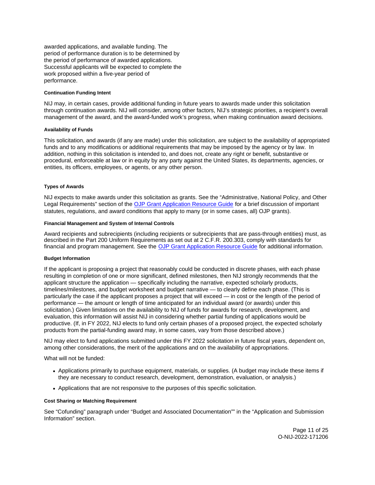<span id="page-11-0"></span>awarded applications, and available funding. The period of performance duration is to be determined by the period of performance of awarded applications. Successful applicants will be expected to complete the work proposed within a five-year period of performance.

#### **Continuation Funding Intent**

NIJ may, in certain cases, provide additional funding in future years to awards made under this solicitation through continuation awards. NIJ will consider, among other factors, NIJ's strategic priorities, a recipient's overall management of the award, and the award-funded work's progress, when making continuation award decisions.

# **Availability of Funds**

This solicitation, and awards (if any are made) under this solicitation, are subject to the availability of appropriated funds and to any modifications or additional requirements that may be imposed by the agency or by law. In addition, nothing in this solicitation is intended to, and does not, create any right or benefit, substantive or procedural, enforceable at law or in equity by any party against the United States, its departments, agencies, or entities, its officers, employees, or agents, or any other person.

### **Types of Awards**

NIJ expects to make awards under this solicitation as grants. See the "Administrative, National Policy, and Other Legal Requirements" section of the [OJP Grant Application Resource Guide](https://www.ojp.gov/funding/apply/ojp-grant-application-resource-guide#administrative) for a brief discussion of important statutes, regulations, and award conditions that apply to many (or in some cases, all) OJP grants).

#### **Financial Management and System of Internal Controls**

Award recipients and subrecipients (including recipients or subrecipients that are pass-through entities) must, as described in the Part 200 Uniform Requirements as set out at 2 C.F.R. 200.303, comply with standards for financial and program management. See the [OJP Grant Application Resource Guide](https://www.ojp.gov/funding/apply/ojp-grant-application-resource-guide#fm-internal-controls) for additional information.

#### **Budget Information**

If the applicant is proposing a project that reasonably could be conducted in discrete phases, with each phase resulting in completion of one or more significant, defined milestones, then NIJ strongly recommends that the applicant structure the application — specifically including the narrative, expected scholarly products, timelines/milestones, and budget worksheet and budget narrative — to clearly define each phase. (This is particularly the case if the applicant proposes a project that will exceed — in cost or the length of the period of performance — the amount or length of time anticipated for an individual award (or awards) under this solicitation.) Given limitations on the availability to NIJ of funds for awards for research, development, and evaluation, this information will assist NIJ in considering whether partial funding of applications would be productive. (If, in FY 2022, NIJ elects to fund only certain phases of a proposed project, the expected scholarly products from the partial-funding award may, in some cases, vary from those described above.)

NIJ may elect to fund applications submitted under this FY 2022 solicitation in future fiscal years, dependent on, among other considerations, the merit of the applications and on the availability of appropriations.

What will not be funded:

- Applications primarily to purchase equipment, materials, or supplies. (A budget may include these items if they are necessary to conduct research, development, demonstration, evaluation, or analysis.)
- Applications that are not responsive to the purposes of this specific solicitation.

#### **Cost Sharing or Matching Requirement**

See "Cofunding" paragraph under "Budget and Associated Documentation"" in the "Application and Submission Information" section.

> Page 11 of 25 O-NIJ-2022-171206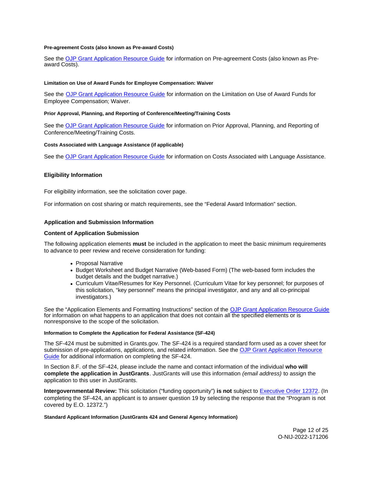#### <span id="page-12-0"></span>**Pre-agreement Costs (also known as Pre-award Costs)**

See the [OJP Grant Application Resource Guide](https://www.ojp.gov/funding/apply/ojp-grant-application-resource-guide#pre-agreement-costs) for information on Pre-agreement Costs (also known as Preaward Costs).

#### **Limitation on Use of Award Funds for Employee Compensation: Waiver**

See the [OJP Grant Application Resource Guide](https://www.ojp.gov/funding/apply/ojp-grant-application-resource-guide#limitation-use-award) for information on the Limitation on Use of Award Funds for Employee Compensation; Waiver.

#### **Prior Approval, Planning, and Reporting of Conference/Meeting/Training Costs**

See the [OJP Grant Application Resource Guide](https://www.ojp.gov/funding/apply/ojp-grant-application-resource-guide#prior-approval) for information on Prior Approval, Planning, and Reporting of Conference/Meeting/Training Costs.

#### **Costs Associated with Language Assistance (if applicable)**

See the [OJP Grant Application Resource Guide](https://www.ojp.gov/funding/apply/ojp-grant-application-resource-guide#costs-associated) for information on Costs Associated with Language Assistance.

#### **Eligibility Information**

For eligibility information, see the solicitation cover page.

For information on cost sharing or match requirements, see the "Federal Award Information" section.

#### **Application and Submission Information**

#### **Content of Application Submission**

The following application elements **must** be included in the application to meet the basic minimum requirements to advance to peer review and receive consideration for funding:

- Proposal Narrative
- Budget Worksheet and Budget Narrative (Web-based Form) (The web-based form includes the budget details and the budget narrative.)
- Curriculum Vitae/Resumes for Key Personnel. (Curriculum Vitae for key personnel; for purposes of this solicitation, "key personnel" means the principal investigator, and any and all co-principal investigators.)

See the "Application Elements and Formatting Instructions" section of the [OJP Grant Application Resource Guide](https://www.ojp.gov/funding/apply/ojp-grant-application-resource-guide#application-elements)  for information on what happens to an application that does not contain all the specified elements or is nonresponsive to the scope of the solicitation.

#### **Information to Complete the Application for Federal Assistance (SF-424)**

The SF-424 must be submitted in [Grants.gov.](https://Grants.gov) The SF-424 is a required standard form used as a cover sheet for submission of pre-applications, applications, and related information. See the [OJP Grant Application Resource](https://www.ojp.gov/funding/apply/ojp-grant-application-resource-guide#complete-application)  [Guide](https://www.ojp.gov/funding/apply/ojp-grant-application-resource-guide#complete-application) for additional information on completing the SF-424.

In Section 8.F. of the SF-424, please include the name and contact information of the individual **who will complete the application in JustGrants**. JustGrants will use this information (email address) to assign the application to this user in JustGrants.

**Intergovernmental Review:** This solicitation ("funding opportunity") **is not** subject to [Executive Order 12372.](https://www.archives.gov/federal-register/codification/executive-order/12372.html) (In completing the SF-424, an applicant is to answer question 19 by selecting the response that the "Program is not covered by E.O. 12372.")

#### **Standard Applicant Information (JustGrants 424 and General Agency Information)**

Page 12 of 25 O-NIJ-2022-171206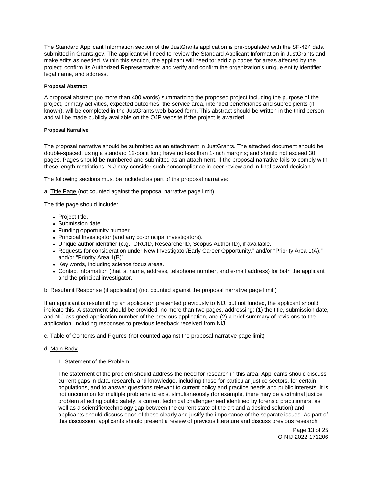<span id="page-13-0"></span>The Standard Applicant Information section of the JustGrants application is pre-populated with the SF-424 data submitted in [Grants.gov](https://Grants.gov). The applicant will need to review the Standard Applicant Information in JustGrants and make edits as needed. Within this section, the applicant will need to: add zip codes for areas affected by the project; confirm its Authorized Representative; and verify and confirm the organization's unique entity identifier, legal name, and address.

# **Proposal Abstract**

A proposal abstract (no more than 400 words) summarizing the proposed project including the purpose of the project, primary activities, expected outcomes, the service area, intended beneficiaries and subrecipients (if known), will be completed in the JustGrants web-based form. This abstract should be written in the third person and will be made publicly available on the OJP website if the project is awarded.

### **Proposal Narrative**

The proposal narrative should be submitted as an attachment in JustGrants. The attached document should be double-spaced, using a standard 12-point font; have no less than 1-inch margins; and should not exceed 30 pages. Pages should be numbered and submitted as an attachment. If the proposal narrative fails to comply with these length restrictions, NIJ may consider such noncompliance in peer review and in final award decision.

The following sections must be included as part of the proposal narrative:

a. Title Page (not counted against the proposal narrative page limit)

The title page should include:

- Project title.
- Submission date.
- Funding opportunity number.
- Principal Investigator (and any co-principal investigators).
- Unique author identifier (e.g., ORCID, ResearcherID, Scopus Author ID), if available.
- Requests for consideration under New Investigator/Early Career Opportunity," and/or "Priority Area 1(A)," and/or "Priority Area 1(B)".
- Key words, including science focus areas.
- Contact information (that is, name, address, telephone number, and e-mail address) for both the applicant and the principal investigator.
- b. Resubmit Response (if applicable) (not counted against the proposal narrative page limit.)

If an applicant is resubmitting an application presented previously to NIJ, but not funded, the applicant should indicate this. A statement should be provided, no more than two pages, addressing: (1) the title, submission date, and NIJ-assigned application number of the previous application, and (2) a brief summary of revisions to the application, including responses to previous feedback received from NIJ.

c. Table of Contents and Figures (not counted against the proposal narrative page limit)

# d. Main Body

1. Statement of the Problem.

The statement of the problem should address the need for research in this area. Applicants should discuss current gaps in data, research, and knowledge, including those for particular justice sectors, for certain populations, and to answer questions relevant to current policy and practice needs and public interests. It is not uncommon for multiple problems to exist simultaneously (for example, there may be a criminal justice problem affecting public safety, a current technical challenge/need identified by forensic practitioners, as well as a scientific/technology gap between the current state of the art and a desired solution) and applicants should discuss each of these clearly and justify the importance of the separate issues. As part of this discussion, applicants should present a review of previous literature and discuss previous research

> Page 13 of 25 O-NIJ-2022-171206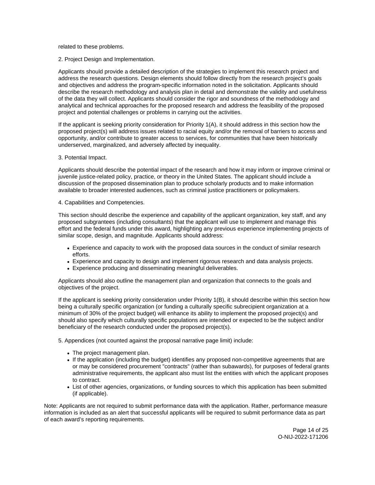### related to these problems.

2. Project Design and Implementation.

Applicants should provide a detailed description of the strategies to implement this research project and address the research questions. Design elements should follow directly from the research project's goals and objectives and address the program-specific information noted in the solicitation. Applicants should describe the research methodology and analysis plan in detail and demonstrate the validity and usefulness of the data they will collect. Applicants should consider the rigor and soundness of the methodology and analytical and technical approaches for the proposed research and address the feasibility of the proposed project and potential challenges or problems in carrying out the activities.

If the applicant is seeking priority consideration for Priority 1(A), it should address in this section how the proposed project(s) will address issues related to racial equity and/or the removal of barriers to access and opportunity, and/or contribute to greater access to services, for communities that have been historically underserved, marginalized, and adversely affected by inequality.

### 3. Potential Impact.

Applicants should describe the potential impact of the research and how it may inform or improve criminal or juvenile justice-related policy, practice, or theory in the United States. The applicant should include a discussion of the proposed dissemination plan to produce scholarly products and to make information available to broader interested audiences, such as criminal justice practitioners or policymakers.

### 4. Capabilities and Competencies.

This section should describe the experience and capability of the applicant organization, key staff, and any proposed subgrantees (including consultants) that the applicant will use to implement and manage this effort and the federal funds under this award, highlighting any previous experience implementing projects of similar scope, design, and magnitude. Applicants should address:

- Experience and capacity to work with the proposed data sources in the conduct of similar research efforts.
- Experience and capacity to design and implement rigorous research and data analysis projects.
- Experience producing and disseminating meaningful deliverables.

Applicants should also outline the management plan and organization that connects to the goals and objectives of the project.

If the applicant is seeking priority consideration under Priority 1(B), it should describe within this section how being a culturally specific organization (or funding a culturally specific subrecipient organization at a minimum of 30% of the project budget) will enhance its ability to implement the proposed project(s) and should also specify which culturally specific populations are intended or expected to be the subject and/or beneficiary of the research conducted under the proposed project(s).

5. Appendices (not counted against the proposal narrative page limit) include:

- The project management plan.
- If the application (including the budget) identifies any proposed non-competitive agreements that are or may be considered procurement "contracts" (rather than subawards), for purposes of federal grants administrative requirements, the applicant also must list the entities with which the applicant proposes to contract.
- List of other agencies, organizations, or funding sources to which this application has been submitted (if applicable).

Note: Applicants are not required to submit performance data with the application. Rather, performance measure information is included as an alert that successful applicants will be required to submit performance data as part of each award's reporting requirements.

> Page 14 of 25 O-NIJ-2022-171206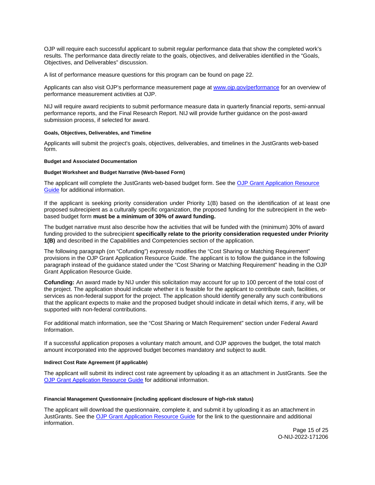<span id="page-15-0"></span>OJP will require each successful applicant to submit regular performance data that show the completed work's results. The performance data directly relate to the goals, objectives, and deliverables identified in the "Goals, Objectives, and Deliverables" discussion.

A list of performance measure questions for this program can be found on page 22.

Applicants can also visit OJP's performance measurement page at [www.ojp.gov/performance](https://www.ojp.gov/performance) for an overview of performance measurement activities at OJP.

NIJ will require award recipients to submit performance measure data in quarterly financial reports, semi-annual performance reports, and the Final Research Report. NIJ will provide further guidance on the post-award submission process, if selected for award.

#### **Goals, Objectives, Deliverables, and Timeline**

Applicants will submit the project's goals, objectives, deliverables, and timelines in the JustGrants web-based form.

#### **Budget and Associated Documentation**

#### **Budget Worksheet and Budget Narrative (Web-based Form)**

The applicant will complete the JustGrants web-based budget form. See the [OJP Grant Application Resource](https://www.ojp.gov/funding/apply/ojp-grant-application-resource-guide#budget-prep)  [Guide](https://www.ojp.gov/funding/apply/ojp-grant-application-resource-guide#budget-prep) for additional information.

If the applicant is seeking priority consideration under Priority 1(B) based on the identification of at least one proposed subrecipient as a culturally specific organization, the proposed funding for the subrecipient in the webbased budget form **must be a minimum of 30% of award funding.** 

The budget narrative must also describe how the activities that will be funded with the (minimum) 30% of award funding provided to the subrecipient **specifically relate to the priority consideration requested under Priority 1(B)** and described in the Capabilities and Competencies section of the application.

The following paragraph (on "Cofunding") expressly modifies the "Cost Sharing or Matching Requirement" provisions in the OJP Grant Application Resource Guide. The applicant is to follow the guidance in the following paragraph instead of the guidance stated under the "Cost Sharing or Matching Requirement" heading in the OJP Grant Application Resource Guide.

**Cofunding:** An award made by NIJ under this solicitation may account for up to 100 percent of the total cost of the project. The application should indicate whether it is feasible for the applicant to contribute cash, facilities, or services as non-federal support for the project. The application should identify generally any such contributions that the applicant expects to make and the proposed budget should indicate in detail which items, if any, will be supported with non-federal contributions.

For additional match information, see the "Cost Sharing or Match Requirement" section under Federal Award Information.

If a successful application proposes a voluntary match amount, and OJP approves the budget, the total match amount incorporated into the approved budget becomes mandatory and subject to audit.

#### **Indirect Cost Rate Agreement (if applicable)**

The applicant will submit its indirect cost rate agreement by uploading it as an attachment in JustGrants. See the [OJP Grant Application Resource Guide](https://www.ojp.gov/funding/apply/ojp-grant-application-resource-guide#indirect-cost) for additional information.

#### **Financial Management Questionnaire (including applicant disclosure of high-risk status)**

The applicant will download the questionnaire, complete it, and submit it by uploading it as an attachment in JustGrants. See the [OJP Grant Application Resource Guide](https://www.ojp.gov/funding/apply/ojp-grant-application-resource-guide#fm-internal-controls-questionnaire) for the link to the questionnaire and additional information.

> Page 15 of 25 O-NIJ-2022-171206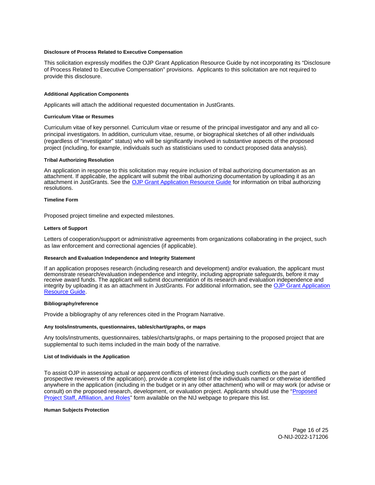#### <span id="page-16-0"></span>**Disclosure of Process Related to Executive Compensation**

This solicitation expressly modifies the OJP Grant Application Resource Guide by not incorporating its "Disclosure of Process Related to Executive Compensation" provisions. Applicants to this solicitation are not required to provide this disclosure.

#### **Additional Application Components**

Applicants will attach the additional requested documentation in JustGrants.

#### **Curriculum Vitae or Resumes**

Curriculum vitae of key personnel. Curriculum vitae or resume of the principal investigator and any and all coprincipal investigators. In addition, curriculum vitae, resume, or biographical sketches of all other individuals (regardless of "investigator" status) who will be significantly involved in substantive aspects of the proposed project (including, for example, individuals such as statisticians used to conduct proposed data analysis).

#### **Tribal Authorizing Resolution**

An application in response to this solicitation may require inclusion of tribal authorizing documentation as an attachment. If applicable, the applicant will submit the tribal authorizing documentation by uploading it as an attachment in JustGrants. See the [OJP Grant Application Resource Guide](https://www.ojp.gov/funding/apply/ojp-grant-application-resource-guide#tribal-authorizing-resolution) for information on tribal authorizing resolutions.

#### **Timeline Form**

Proposed project timeline and expected milestones.

#### **Letters of Support**

Letters of cooperation/support or administrative agreements from organizations collaborating in the project, such as law enforcement and correctional agencies (if applicable).

#### **Research and Evaluation Independence and Integrity Statement**

If an application proposes research (including research and development) and/or evaluation, the applicant must demonstrate research/evaluation independence and integrity, including appropriate safeguards, before it may receive award funds. The applicant will submit documentation of its research and evaluation independence and integrity by uploading it as an attachment in JustGrants. For additional information, see the OJP Grant Application [Resource Guide.](https://www.ojp.gov/funding/apply/ojp-grant-application-resource-guide#research-evaluation)

#### **Bibliography/reference**

Provide a bibliography of any references cited in the Program Narrative.

#### **Any tools/instruments, questionnaires, tables/chart/graphs, or maps**

Any tools/instruments, questionnaires, tables/charts/graphs, or maps pertaining to the proposed project that are supplemental to such items included in the main body of the narrative.

#### **List of Individuals in the Application**

To assist OJP in assessing actual or apparent conflicts of interest (including such conflicts on the part of prospective reviewers of the application), provide a complete list of the individuals named or otherwise identified anywhere in the application (including in the budget or in any other attachment) who will or may work (or advise or consult) on the proposed research, development, or evaluation project. Applicants should use the "[Proposed](http://nij.ojp.gov/sites/g/files/xyckuh171/files/media/document/nij-project-staff-template.xlsx)  [Project Staff, Affiliation, and Roles"](http://nij.ojp.gov/sites/g/files/xyckuh171/files/media/document/nij-project-staff-template.xlsx) form available on the NIJ webpage to prepare this list.

#### **Human Subjects Protection**

Page 16 of 25 O-NIJ-2022-171206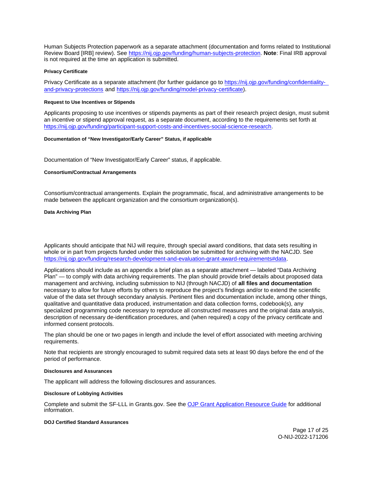<span id="page-17-0"></span>Human Subjects Protection paperwork as a separate attachment (documentation and forms related to Institutional Review Board [IRB] review). See [https://nij.ojp.gov/funding/human-subjects-protection.](https://nij.ojp.gov/funding/human-subjects-protection) **Note**: Final IRB approval is not required at the time an application is submitted.

### **Privacy Certificate**

Privacy Certificate as a separate attachment (for further guidance go to [https://nij.ojp.gov/funding/confidentiality](https://nij.ojp.gov/funding/confidentiality-and-privacy-protections)[and-privacy-protections](https://nij.ojp.gov/funding/confidentiality-and-privacy-protections) and [https://nij.ojp.gov/funding/model-privacy-certificate\)](https://nij.ojp.gov/funding/model-privacy-certificate).

### **Request to Use Incentives or Stipends**

Applicants proposing to use incentives or stipends payments as part of their research project design, must submit an incentive or stipend approval request, as a separate document, according to the requirements set forth at [https://nij.ojp.gov/funding/participant-support-costs-and-incentives-social-science-research.](https://nij.ojp.gov/funding/participant-support-costs-and-incentives-social-science-research)

#### **Documentation of "New Investigator/Early Career" Status, if applicable**

Documentation of "New Investigator/Early Career" status, if applicable.

#### **Consortium/Contractual Arrangements**

Consortium/contractual arrangements. Explain the programmatic, fiscal, and administrative arrangements to be made between the applicant organization and the consortium organization(s).

#### **Data Archiving Plan**

Applicants should anticipate that NIJ will require, through special award conditions, that data sets resulting in whole or in part from projects funded under this solicitation be submitted for archiving with the NACJD. See [https://nij.ojp.gov/funding/research-development-and-evaluation-grant-award-requirements#data.](https://nij.ojp.gov/funding/research-development-and-evaluation-grant-award-requirements#data)

Applications should include as an appendix a brief plan as a separate attachment — labeled "Data Archiving Plan" — to comply with data archiving requirements. The plan should provide brief details about proposed data management and archiving, including submission to NIJ (through NACJD) of **all files and documentation**  necessary to allow for future efforts by others to reproduce the project's findings and/or to extend the scientific value of the data set through secondary analysis. Pertinent files and documentation include, among other things, qualitative and quantitative data produced, instrumentation and data collection forms, codebook(s), any specialized programming code necessary to reproduce all constructed measures and the original data analysis, description of necessary de-identification procedures, and (when required) a copy of the privacy certificate and informed consent protocols.

The plan should be one or two pages in length and include the level of effort associated with meeting archiving requirements.

Note that recipients are strongly encouraged to submit required data sets at least 90 days before the end of the period of performance.

#### **Disclosures and Assurances**

The applicant will address the following disclosures and assurances.

#### **Disclosure of Lobbying Activities**

Complete and submit the SF-LLL in [Grants.gov](https://Grants.gov). See the [OJP Grant Application Resource Guide](https://www.ojp.gov/funding/apply/ojp-grant-application-resource-guide#disclosure-lobby) for additional information.

# **DOJ Certified Standard Assurances**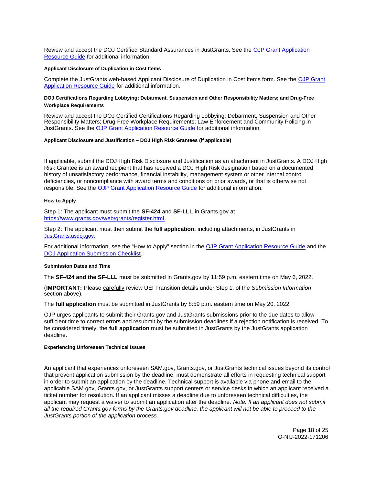<span id="page-18-0"></span>Review and accept the DOJ Certified Standard Assurances in JustGrants. See the [OJP Grant Application](https://www.ojp.gov/funding/apply/ojp-grant-application-resource-guide#administrative)  [Resource Guide](https://www.ojp.gov/funding/apply/ojp-grant-application-resource-guide#administrative) for additional information.

#### **Applicant Disclosure of Duplication in Cost Items**

Complete the JustGrants web-based Applicant Disclosure of Duplication in Cost Items form. See the [OJP Grant](https://www.ojp.gov/funding/apply/ojp-grant-application-resource-guide#applicant-disclosure-pending-applications)  [Application Resource Guide](https://www.ojp.gov/funding/apply/ojp-grant-application-resource-guide#applicant-disclosure-pending-applications) for additional information.

# **DOJ Certifications Regarding Lobbying; Debarment, Suspension and Other Responsibility Matters; and Drug-Free Workplace Requirements**

Review and accept the DOJ Certified Certifications Regarding Lobbying; Debarment, Suspension and Other Responsibility Matters; Drug-Free Workplace Requirements; Law Enforcement and Community Policing in JustGrants. See the [OJP Grant Application Resource Guide](https://www.ojp.gov/funding/apply/ojp-grant-application-resource-guide#administrative) for additional information.

#### **Applicant Disclosure and Justification – DOJ High Risk Grantees (if applicable)**

If applicable, submit the DOJ High Risk Disclosure and Justification as an attachment in JustGrants. A DOJ High Risk Grantee is an award recipient that has received a DOJ High Risk designation based on a documented history of unsatisfactory performance, financial instability, management system or other internal control deficiencies, or noncompliance with award terms and conditions on prior awards, or that is otherwise not responsible. See the [OJP Grant Application Resource Guide](https://www.ojp.gov/funding/apply/ojp-grant-application-resource-guide) for additional information.

#### **How to Apply**

Step 1: The applicant must submit the **SF-424** and **SF-LLL** in [Grants.gov](https://Grants.gov) at [https://www.grants.gov/web/grants/register.html.](https://www.grants.gov/web/grants/register.html)

Step 2: The applicant must then submit the **full application,** including attachments, in JustGrants in [JustGrants.usdoj.gov.](https://justicegrants.usdoj.gov/)

For additional information, see the "How to Apply" section in the [OJP Grant Application Resource Guide](https://www.ojp.gov/funding/apply/ojp-grant-application-resource-guide#apply) and the [DOJ Application Submission Checklist.](https://justicegrants.usdoj.gov/sites/g/files/xyckuh296/files/media/document/appln-submission-checklist.pdf)

#### **Submission Dates and Time**

The **SF-424 and the SF-LLL** must be submitted in [Grants.gov](https://Grants.gov) by 11:59 p.m. eastern time on May 6, 2022.

(**IMPORTANT:** Please carefully review UEI Transition details under Step 1. of the Submission Information section above).

The **full application** must be submitted in JustGrants by 8:59 p.m. eastern time on May 20, 2022.

OJP urges applicants to submit their [Grants.gov](https://Grants.gov) and JustGrants submissions prior to the due dates to allow sufficient time to correct errors and resubmit by the submission deadlines if a rejection notification is received. To be considered timely, the **full application** must be submitted in JustGrants by the JustGrants application deadline.

#### **Experiencing Unforeseen Technical Issues**

An applicant that experiences unforeseen SAM.gov, [Grants.gov](https://Grants.gov), or JustGrants technical issues beyond its control that prevent application submission by the deadline, must demonstrate all efforts in requesting technical support in order to submit an application by the deadline. Technical support is available via phone and email to the applicable SAM.gov, [Grants.gov,](https://Grants.gov) or JustGrants support centers or service desks in which an applicant received a ticket number for resolution. If an applicant misses a deadline due to unforeseen technical difficulties, the applicant may request a waiver to submit an application after the deadline. Note: If an applicant does not submit all the required [Grants.gov](https://Grants.gov) forms by the [Grants.gov](https://Grants.gov) deadline, the applicant will not be able to proceed to the JustGrants portion of the application process.

> Page 18 of 25 O-NIJ-2022-171206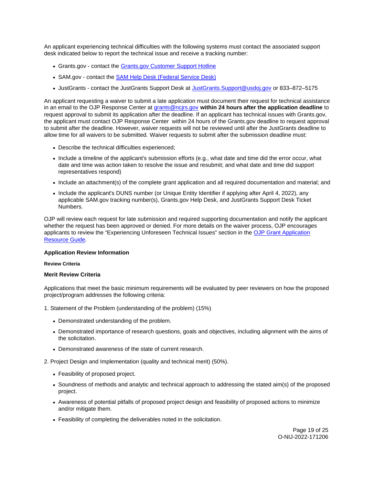<span id="page-19-0"></span>An applicant experiencing technical difficulties with the following systems must contact the associated support desk indicated below to report the technical issue and receive a tracking number:

- [Grants.gov](https://Grants.gov)  contact the [Grants.gov Customer Support Hotline](https://www.grants.gov/web/grants/support.html)
- SAM.gov contact the [SAM Help Desk \(Federal Service Desk\)](https://www.fsd.gov/gsafsd_sp)
- JustGrants contact the JustGrants Support Desk at [JustGrants.Support@usdoj.gov](mailto:JustGrants.Support@usdoj.gov) or 833-872-5175

An applicant requesting a waiver to submit a late application must document their request for technical assistance in an email to the OJP Response Center at [grants@ncjrs.gov](file:///C:/Users/local_Yehj/INetCache/Content.Outlook/20U4XBR7/grants@ncjrs.gov) **within 24 hours after the application deadline** to request approval to submit its application after the deadline. If an applicant has technical issues with [Grants.gov](https://Grants.gov), the applicant must contact OJP Response Center within 24 hours of the [Grants.gov](https://Grants.gov) deadline to request approval to submit after the deadline. However, waiver requests will not be reviewed until after the JustGrants deadline to allow time for all waivers to be submitted. Waiver requests to submit after the submission deadline must:

- Describe the technical difficulties experienced;
- Include a timeline of the applicant's submission efforts (e.g., what date and time did the error occur, what date and time was action taken to resolve the issue and resubmit; and what date and time did support representatives respond)
- Include an attachment(s) of the complete grant application and all required documentation and material; and
- Include the applicant's DUNS number (or Unique Entity Identifier if applying after April 4, 2022), any applicable SAM.gov tracking number(s), [Grants.gov](https://Grants.gov) Help Desk, and JustGrants Support Desk Ticket Numbers.

OJP will review each request for late submission and required supporting documentation and notify the applicant whether the request has been approved or denied. For more details on the waiver process, OJP encourages applicants to review the "Experiencing Unforeseen Technical Issues" section in the [OJP Grant Application](https://www.ojp.gov/funding/apply/ojp-grant-application-resource-guide#experiencing-unforeseen-technical-issues)  [Resource Guide](https://www.ojp.gov/funding/apply/ojp-grant-application-resource-guide#experiencing-unforeseen-technical-issues).

# **Application Review Information**

# **Review Criteria**

# **Merit Review Criteria**

Applications that meet the basic minimum requirements will be evaluated by peer reviewers on how the proposed project/program addresses the following criteria:

- 1. Statement of the Problem (understanding of the problem) (15%)
	- Demonstrated understanding of the problem.
	- Demonstrated importance of research questions, goals and objectives, including alignment with the aims of the solicitation.
	- Demonstrated awareness of the state of current research.
- 2. Project Design and Implementation (quality and technical merit) (50%).
	- Feasibility of proposed project.
	- Soundness of methods and analytic and technical approach to addressing the stated aim(s) of the proposed project.
	- Awareness of potential pitfalls of proposed project design and feasibility of proposed actions to minimize and/or mitigate them.
	- Feasibility of completing the deliverables noted in the solicitation.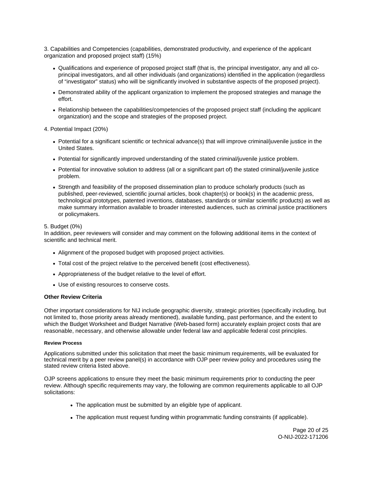<span id="page-20-0"></span>3. Capabilities and Competencies (capabilities, demonstrated productivity, and experience of the applicant organization and proposed project staff) (15%)

- Qualifications and experience of proposed project staff (that is, the principal investigator, any and all coprincipal investigators, and all other individuals (and organizations) identified in the application (regardless of "investigator" status) who will be significantly involved in substantive aspects of the proposed project).
- Demonstrated ability of the applicant organization to implement the proposed strategies and manage the effort.
- Relationship between the capabilities/competencies of the proposed project staff (including the applicant organization) and the scope and strategies of the proposed project.
- 4. Potential Impact (20%)
	- Potential for a significant scientific or technical advance(s) that will improve criminal/juvenile justice in the United States.
	- Potential for significantly improved understanding of the stated criminal/juvenile justice problem.
	- Potential for innovative solution to address (all or a significant part of) the stated criminal/juvenile justice problem.
	- Strength and feasibility of the proposed dissemination plan to produce scholarly products (such as published, peer-reviewed, scientific journal articles, book chapter(s) or book(s) in the academic press, technological prototypes, patented inventions, databases, standards or similar scientific products) as well as make summary information available to broader interested audiences, such as criminal justice practitioners or policymakers.

#### 5. Budget (0%)

In addition, peer reviewers will consider and may comment on the following additional items in the context of scientific and technical merit.

- Alignment of the proposed budget with proposed project activities.
- Total cost of the project relative to the perceived benefit (cost effectiveness).
- Appropriateness of the budget relative to the level of effort.
- Use of existing resources to conserve costs.

#### **Other Review Criteria**

Other important considerations for NIJ include geographic diversity, strategic priorities (specifically including, but not limited to, those priority areas already mentioned), available funding, past performance, and the extent to which the Budget Worksheet and Budget Narrative (Web-based form) accurately explain project costs that are reasonable, necessary, and otherwise allowable under federal law and applicable federal cost principles.

# **Review Process**

Applications submitted under this solicitation that meet the basic minimum requirements, will be evaluated for technical merit by a peer review panel(s) in accordance with OJP peer review policy and procedures using the stated review criteria listed above.

OJP screens applications to ensure they meet the basic minimum requirements prior to conducting the peer review. Although specific requirements may vary, the following are common requirements applicable to all OJP solicitations:

- The application must be submitted by an eligible type of applicant.
- The application must request funding within programmatic funding constraints (if applicable).

Page 20 of 25 O-NIJ-2022-171206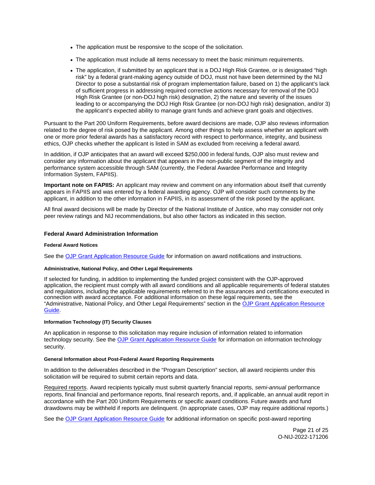- <span id="page-21-0"></span>The application must be responsive to the scope of the solicitation.
- The application must include all items necessary to meet the basic minimum requirements.
- The application, if submitted by an applicant that is a DOJ High Risk Grantee, or is designated "high risk" by a federal grant-making agency outside of DOJ, must not have been determined by the NIJ Director to pose a substantial risk of program implementation failure, based on 1) the applicant's lack of sufficient progress in addressing required corrective actions necessary for removal of the DOJ High Risk Grantee (or non-DOJ high risk) designation, 2) the nature and severity of the issues leading to or accompanying the DOJ High Risk Grantee (or non-DOJ high risk) designation, and/or 3) the applicant's expected ability to manage grant funds and achieve grant goals and objectives.

Pursuant to the Part 200 Uniform Requirements, before award decisions are made, OJP also reviews information related to the degree of risk posed by the applicant. Among other things to help assess whether an applicant with one or more prior federal awards has a satisfactory record with respect to performance, integrity, and business ethics, OJP checks whether the applicant is listed in SAM as excluded from receiving a federal award.

In addition, if OJP anticipates that an award will exceed \$250,000 in federal funds, OJP also must review and consider any information about the applicant that appears in the non-public segment of the integrity and performance system accessible through SAM (currently, the Federal Awardee Performance and Integrity Information System, FAPIIS).

**Important note on FAPIIS:** An applicant may review and comment on any information about itself that currently appears in FAPIIS and was entered by a federal awarding agency. OJP will consider such comments by the applicant, in addition to the other information in FAPIIS, in its assessment of the risk posed by the applicant.

All final award decisions will be made by Director of the National Institute of Justice, who may consider not only peer review ratings and NIJ recommendations, but also other factors as indicated in this section.

# **Federal Award Administration Information**

# **Federal Award Notices**

See the [OJP Grant Application Resource Guide](https://www.ojp.gov/funding/apply/ojp-grant-application-resource-guide#federal-award-notices) for information on award notifications and instructions.

### **Administrative, National Policy, and Other Legal Requirements**

If selected for funding, in addition to implementing the funded project consistent with the OJP-approved application, the recipient must comply with all award conditions and all applicable requirements of federal statutes and regulations, including the applicable requirements referred to in the assurances and certifications executed in connection with award acceptance. For additional information on these legal requirements, see the "Administrative, National Policy, and Other Legal Requirements" section in the [OJP Grant Application Resource](https://www.ojp.gov/funding/apply/ojp-grant-application-resource-guide#administrative)  [Guide.](https://www.ojp.gov/funding/apply/ojp-grant-application-resource-guide#administrative)

#### **Information Technology (IT) Security Clauses**

An application in response to this solicitation may require inclusion of information related to information technology security. See the [OJP Grant Application Resource Guide](https://www.ojp.gov/funding/apply/ojp-grant-application-resource-guide#information-technology) for information on information technology security.

#### **General Information about Post-Federal Award Reporting Requirements**

In addition to the deliverables described in the "Program Description" section, all award recipients under this solicitation will be required to submit certain reports and data.

Required reports. Award recipients typically must submit quarterly financial reports, semi-annual performance reports, final financial and performance reports, final research reports, and, if applicable, an annual audit report in accordance with the Part 200 Uniform Requirements or specific award conditions. Future awards and fund drawdowns may be withheld if reports are delinquent. (In appropriate cases, OJP may require additional reports.)

See the [OJP Grant Application Resource Guide](https://www.ojp.gov/funding/apply/ojp-grant-application-resource-guide#general-information) for additional information on specific post-award reporting

Page 21 of 25 O-NIJ-2022-171206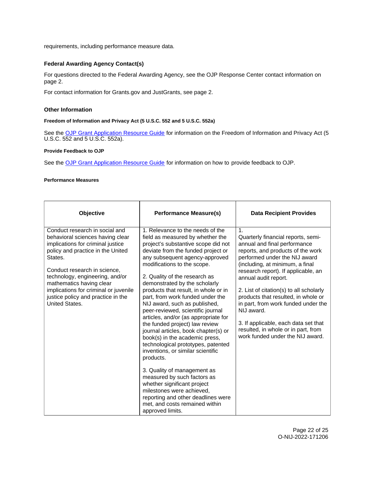<span id="page-22-0"></span>requirements, including performance measure data.

# **Federal Awarding Agency Contact(s)**

For questions directed to the Federal Awarding Agency, see the OJP Response Center contact information on page 2.

For contact information for [Grants.gov](https://Grants.gov) and JustGrants, see page 2.

# **Other Information**

# **Freedom of Information and Privacy Act (5 U.S.C. 552 and 5 U.S.C. 552a)**

See the [OJP Grant Application Resource Guide](https://www.ojp.gov/funding/apply/ojp-grant-application-resource-guide#foia) for information on the Freedom of Information and Privacy Act (5 U.S.C. 552 and 5 U.S.C. 552a).

#### **Provide Feedback to OJP**

See the [OJP Grant Application Resource Guide](https://www.ojp.gov/funding/apply/ojp-grant-application-resource-guide#feedback) for information on how to provide feedback to OJP.

# **Performance Measures**

| Objective                                                                                                                                                                                                                                                                                                                                               | <b>Performance Measure(s)</b>                                                                                                                                                                                                                                                                                                                                                                                                                                                                                                                                                                                                                                                                                                                                                                                                                                                                            | <b>Data Recipient Provides</b>                                                                                                                                                                                                                                                                                                                                                                                                                                                                                         |
|---------------------------------------------------------------------------------------------------------------------------------------------------------------------------------------------------------------------------------------------------------------------------------------------------------------------------------------------------------|----------------------------------------------------------------------------------------------------------------------------------------------------------------------------------------------------------------------------------------------------------------------------------------------------------------------------------------------------------------------------------------------------------------------------------------------------------------------------------------------------------------------------------------------------------------------------------------------------------------------------------------------------------------------------------------------------------------------------------------------------------------------------------------------------------------------------------------------------------------------------------------------------------|------------------------------------------------------------------------------------------------------------------------------------------------------------------------------------------------------------------------------------------------------------------------------------------------------------------------------------------------------------------------------------------------------------------------------------------------------------------------------------------------------------------------|
| Conduct research in social and<br>behavioral sciences having clear<br>implications for criminal justice<br>policy and practice in the United<br>States.<br>Conduct research in science,<br>technology, engineering, and/or<br>mathematics having clear<br>implications for criminal or juvenile<br>justice policy and practice in the<br>United States. | 1. Relevance to the needs of the<br>field as measured by whether the<br>project's substantive scope did not<br>deviate from the funded project or<br>any subsequent agency-approved<br>modifications to the scope.<br>2. Quality of the research as<br>demonstrated by the scholarly<br>products that result, in whole or in<br>part, from work funded under the<br>NIJ award, such as published,<br>peer-reviewed, scientific journal<br>articles, and/or (as appropriate for<br>the funded project) law review<br>journal articles, book chapter(s) or<br>book(s) in the academic press,<br>technological prototypes, patented<br>inventions, or similar scientific<br>products.<br>3. Quality of management as<br>measured by such factors as<br>whether significant project<br>milestones were achieved,<br>reporting and other deadlines were<br>met, and costs remained within<br>approved limits. | $\mathbf{1}$ .<br>Quarterly financial reports, semi-<br>annual and final performance<br>reports, and products of the work<br>performed under the NIJ award<br>(including, at minimum, a final<br>research report). If applicable, an<br>annual audit report.<br>2. List of citation(s) to all scholarly<br>products that resulted, in whole or<br>in part, from work funded under the<br>NIJ award.<br>3. If applicable, each data set that<br>resulted, in whole or in part, from<br>work funded under the NIJ award. |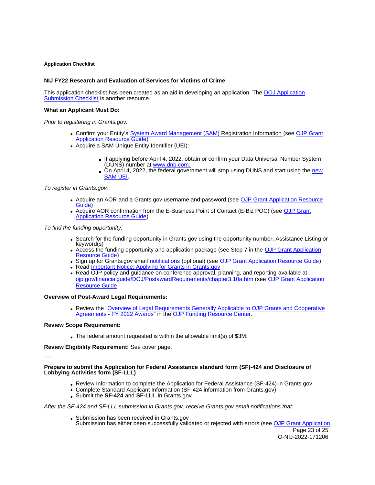# <span id="page-23-0"></span>**Application Checklist**

# **NIJ FY22 Research and Evaluation of Services for Victims of Crime**

This application checklist has been created as an aid in developing an application. The [DOJ Application](https://justicegrants.usdoj.gov/sites/g/files/xyckuh296/files/media/document/appln-submission-checklist.pdf)  [Submission Checklist](https://justicegrants.usdoj.gov/sites/g/files/xyckuh296/files/media/document/appln-submission-checklist.pdf) is another resource.

# **What an Applicant Must Do:**

Prior to registering in [Grants.gov:](https://Grants.gov)

- Confirm your Entity's [System Award Management \(SAM\)](https://sam.gov/SAM/) Registration Information (see [OJP Grant](https://www.ojp.gov/funding/apply/ojp-grant-application-resource-guide#apply)  [Application Resource Guide\)](https://www.ojp.gov/funding/apply/ojp-grant-application-resource-guide#apply)
- Acquire a SAM Unique Entity Identifier (UEI):
	- If applying before April 4, 2022, obtain or confirm your Data Universal Number System (DUNS) number at [www.dnb.com.](http://www.dnb.com)
	- On April 4, 2022, the federal government will stop using DUNS and start using the new [SAM UEI.](https://justicegrants.usdoj.gov/resources/system-for-award-management#transition-to-unique-entity-id-sam)

To register in [Grants.gov](https://Grants.gov):

- Acquire an AOR and a [Grants.gov](https://Grants.gov) username and password (see OJP Grant Application Resource [Guide\)](https://www.ojp.gov/funding/apply/ojp-grant-application-resource-guide#apply)
- Acquire AOR confirmation from the E-Business Point of Contact (E-Biz POC) (see OJP Grant [Application Resource Guide\)](https://www.ojp.gov/funding/apply/ojp-grant-application-resource-guide#apply)

To find the funding opportunity:

- Search for the funding opportunity in [Grants.gov](https://Grants.gov) using the opportunity number, Assistance Listing or keyword(s)
- Access the funding opportunity and application package (see Step 7 in the [OJP Grant Application](https://www.ojp.gov/funding/apply/ojp-grant-application-resource-guide#apply)  [Resource Guide\)](https://www.ojp.gov/funding/apply/ojp-grant-application-resource-guide#apply)
- Sign up for [Grants.gov](https://Grants.gov) email [notifications](https://www.grants.gov/web/grants/manage-subscriptions.html) (optional) (see [OJP Grant Application Resource Guide\)](https://www.ojp.gov/funding/apply/ojp-grant-application-resource-guide#apply)
- Read Important Notice: Applying for Grants in Grants.gov
- Read OJP policy and guidance on conference approval, planning, and reporting available at [ojp.gov/financialguide/DOJ/PostawardRequirements/chapter3.10a.htm](https://ojp.gov/financialguide/DOJ/PostawardRequirements/chapter3.10a.htm) (see [OJP Grant Application](https://www.ojp.gov/funding/apply/ojp-grant-application-resource-guide#prior-approval)  [Resource Guide](https://www.ojp.gov/funding/apply/ojp-grant-application-resource-guide#prior-approval)

#### **Overview of Post-Award Legal Requirements:**

Review the "Overview of Legal Requirements Generally Applicable to OJP Grants and Cooperative [Agreements - FY 2022 Awards"](https://www.ojp.gov/funding/explore/legal-overview-awards) in the [OJP Funding Resource Center.](https://www.ojp.gov/funding/explore/legal-overview-awards)

#### **Review Scope Requirement:**

The federal amount requested is within the allowable limit(s) of \$3M.

**Review Eligibility Requirement:** See cover page.

~~~

**Prepare to submit the Application for Federal Assistance standard form (SF)-424 and Disclosure of Lobbying Activities form (SF-LLL)** 

- Review Information to complete the Application for Federal Assistance (SF-424) in [Grants.gov](https://Grants.gov)
- Complete Standard Applicant Information (SF-424 information from [Grants.gov\)](https://Grants.gov)
- Submit the **SF-424** and **SF-LLL** in [Grants.gov](https://Grants.gov)

After the SF-424 and SF-LLL submission in [Grants.gov](https://Grants.gov), receive [Grants.gov](https://Grants.gov) email notifications that:

- Submission has been received in [Grants.gov](https://Grants.gov)
	- Submission has either been successfully validated or rejected with errors (see [OJP Grant Application](https://www.ojp.gov/funding/apply/ojp-grant-application-resource-guide#apply)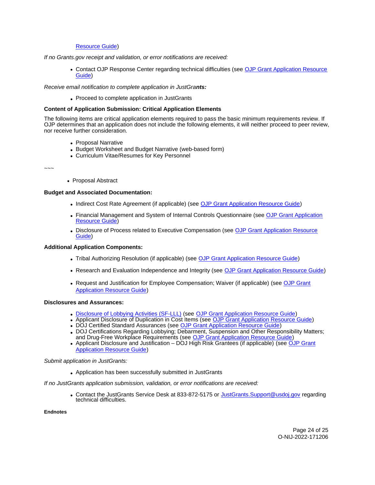# [Resource Guide\)](https://www.ojp.gov/funding/apply/ojp-grant-application-resource-guide#apply)

<span id="page-24-0"></span>If no [Grants.gov](https://Grants.gov) receipt and validation, or error notifications are received:

Contact OJP Response Center regarding technical difficulties (see [OJP Grant Application Resource](https://www.ojp.gov/funding/apply/ojp-grant-application-resource-guide#apply)  [Guide\)](https://www.ojp.gov/funding/apply/ojp-grant-application-resource-guide#apply)

Receive email notification to complete application in JustGra**nts:** 

Proceed to complete application in JustGrants

#### **Content of Application Submission: Critical Application Elements**

The following items are critical application elements required to pass the basic minimum requirements review. If OJP determines that an application does not include the following elements, it will neither proceed to peer review, nor receive further consideration.

- Proposal Narrative
- Budget Worksheet and Budget Narrative (web-based form)
- Curriculum Vitae/Resumes for Key Personnel

~~~

• Proposal Abstract

### **Budget and Associated Documentation:**

- Indirect Cost Rate Agreement (if applicable) (see [OJP Grant Application Resource Guide\)](https://www.ojp.gov/funding/apply/ojp-grant-application-resource-guide#indirect-cost)
- Financial Management and System of Internal Controls Questionnaire (see OJP Grant Application [Resource Guide\)](https://www.ojp.gov/funding/apply/ojp-grant-application-resource-guide#fm-internal-controls-questionnaire)
- Disclosure of Process related to Executive Compensation (see OJP Grant Application Resource [Guide\)](https://www.ojp.gov/funding/apply/ojp-grant-application-resource-guide#disclosure-process-executive)

#### **Additional Application Components:**

- Tribal Authorizing Resolution (if applicable) (see [OJP Grant Application Resource Guide\)](https://www.ojp.gov/funding/apply/ojp-grant-application-resource-guide#tribal-authorizing-resolution)
- Research and Evaluation Independence and Integrity (see [OJP Grant Application Resource Guide\)](https://www.ojp.gov/funding/apply/ojp-grant-application-resource-guide#research-evaluation)
- Request and Justification for Employee Compensation; Waiver (if applicable) (see OJP Grant [Application Resource Guide\)](https://www.ojp.gov/funding/apply/ojp-grant-application-resource-guide#limitation-use-award)

# **Disclosures and Assurances:**

- [Disclosure of Lobbying Activities \(SF-LLL\)](https://ojp.gov/funding/Apply/Resources/Disclosure.pdf) (see [OJP Grant Application Resource Guide\)](https://www.ojp.gov/funding/apply/ojp-grant-application-resource-guide#disclosure-lobby)
- Applicant Disclosure of Duplication in Cost Items (see [OJP Grant Application Resource Guide\)](https://www.ojp.gov/funding/apply/ojp-grant-application-resource-guide#applicant-disclosure-pending-applications)
- DOJ Certified Standard Assurances (see [OJP Grant Application Resource Guide\)](https://www.ojp.gov/funding/apply/ojp-grant-application-resource-guide#administrative)
- DOJ Certifications Regarding Lobbying; Debarment, Suspension and Other Responsibility Matters; and Drug-Free Workplace Requirements (see [OJP Grant Application Resource Guide\)](https://www.ojp.gov/funding/apply/ojp-grant-application-resource-guide#administrative)
- Applicant Disclosure and Justification DOJ High Risk Grantees (if applicable) (see OJP Grant [Application Resource Guide\)](https://www.ojp.gov/funding/apply/ojp-grant-application-resource-guide#applicant-disclosure-justification)

Submit application in JustGrants:

Application has been successfully submitted in JustGrants

If no JustGrants application submission, validation, or error notifications are received:

• Contact the JustGrants Service Desk at 833-872-5175 or [JustGrants.Support@usdoj.gov](mailto:JustGrants.Support@usdoj.gov) regarding technical difficulties.

**Endnotes**